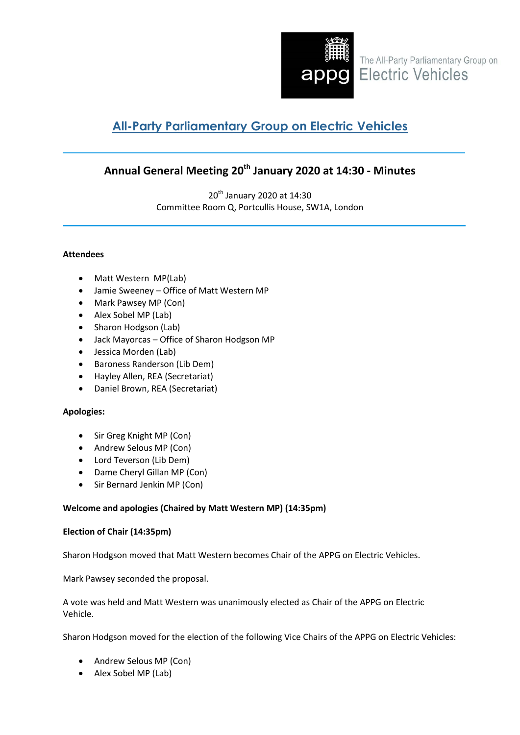

# **All-Party Parliamentary Group on Electric Vehicles**

# **Annual General Meeting 20th January 2020 at 14:30 - Minutes**

20<sup>th</sup> January 2020 at 14:30 Committee Room Q, Portcullis House, SW1A, London

# **Attendees**

- Matt Western MP(Lab)
- Jamie Sweeney Office of Matt Western MP
- Mark Pawsey MP (Con)
- Alex Sobel MP (Lab)
- Sharon Hodgson (Lab)
- Jack Mayorcas Office of Sharon Hodgson MP
- Jessica Morden (Lab)
- Baroness Randerson (Lib Dem)
- Hayley Allen, REA (Secretariat)
- Daniel Brown, REA (Secretariat)

# **Apologies:**

- Sir Greg Knight MP (Con)
- Andrew Selous MP (Con)
- Lord Teverson (Lib Dem)
- Dame Cheryl Gillan MP (Con)
- Sir Bernard Jenkin MP (Con)

# **Welcome and apologies (Chaired by Matt Western MP) (14:35pm)**

# **Election of Chair (14:35pm)**

Sharon Hodgson moved that Matt Western becomes Chair of the APPG on Electric Vehicles.

Mark Pawsey seconded the proposal.

A vote was held and Matt Western was unanimously elected as Chair of the APPG on Electric Vehicle.

Sharon Hodgson moved for the election of the following Vice Chairs of the APPG on Electric Vehicles:

- Andrew Selous MP (Con)
- Alex Sobel MP (Lab)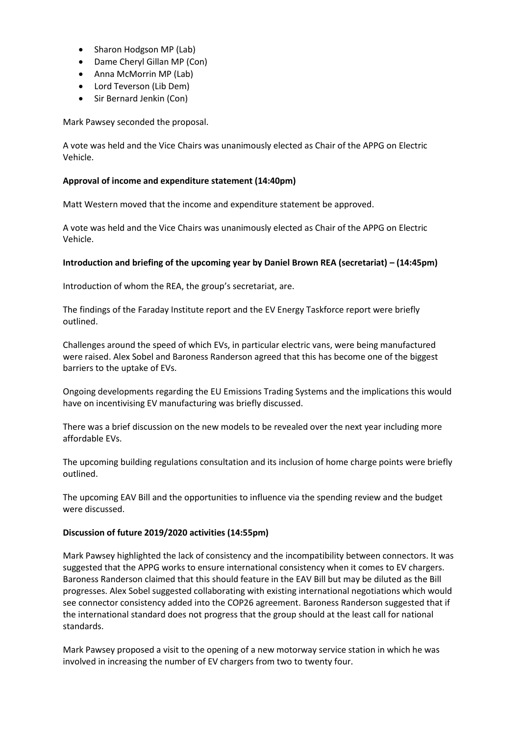- Sharon Hodgson MP (Lab)
- Dame Cheryl Gillan MP (Con)
- Anna McMorrin MP (Lab)
- Lord Teverson (Lib Dem)
- Sir Bernard Jenkin (Con)

Mark Pawsey seconded the proposal.

A vote was held and the Vice Chairs was unanimously elected as Chair of the APPG on Electric Vehicle.

## **Approval of income and expenditure statement (14:40pm)**

Matt Western moved that the income and expenditure statement be approved.

A vote was held and the Vice Chairs was unanimously elected as Chair of the APPG on Electric Vehicle.

## **Introduction and briefing of the upcoming year by Daniel Brown REA (secretariat) – (14:45pm)**

Introduction of whom the REA, the group's secretariat, are.

The findings of the Faraday Institute report and the EV Energy Taskforce report were briefly outlined.

Challenges around the speed of which EVs, in particular electric vans, were being manufactured were raised. Alex Sobel and Baroness Randerson agreed that this has become one of the biggest barriers to the uptake of EVs.

Ongoing developments regarding the EU Emissions Trading Systems and the implications this would have on incentivising EV manufacturing was briefly discussed.

There was a brief discussion on the new models to be revealed over the next year including more affordable EVs.

The upcoming building regulations consultation and its inclusion of home charge points were briefly outlined.

The upcoming EAV Bill and the opportunities to influence via the spending review and the budget were discussed.

### **Discussion of future 2019/2020 activities (14:55pm)**

Mark Pawsey highlighted the lack of consistency and the incompatibility between connectors. It was suggested that the APPG works to ensure international consistency when it comes to EV chargers. Baroness Randerson claimed that this should feature in the EAV Bill but may be diluted as the Bill progresses. Alex Sobel suggested collaborating with existing international negotiations which would see connector consistency added into the COP26 agreement. Baroness Randerson suggested that if the international standard does not progress that the group should at the least call for national standards.

Mark Pawsey proposed a visit to the opening of a new motorway service station in which he was involved in increasing the number of EV chargers from two to twenty four.